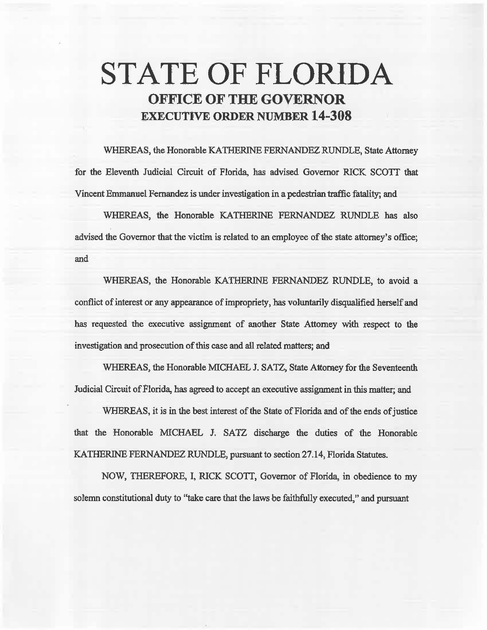# **STATE OF FLORIDA OFFICE OF THE GOVERNOR EXECUTIVE ORDER NUMBER 14-308**

WHEREAS, the Honorable KATHERINE FERNANDEZ RUNDLE, State Attorney for the Eleventh Judicial Circuit of Florida, has advised Governor RICK *SCOTT* that Vincent Emmanuel Fernandez is under investigation in a pedestrian traffic fatality; and

WHEREAS, the Honorable KATHERINE FERNANDEZ RUNDLE has also advised the Governor that the victim is related to an employee of the state attorney's office; and

WHEREAS, the Honorable KATHERINE FERNANDEZ RUNDLE, to avoid a conflict of interest or any appearance of impropriety, has voluntarily disqualified herself and has requested the executive assignment of another State Attorney with respect to the investigation and prosecution of this case and all related matters; and

WHEREAS, the Honorable MICHAEL J. SATZ, State Attorney for the Seventeenth Judicial Circuit of Florida, has agreed to accept an executive assignment in this matter; and

WHEREAS, it is in the best interest of the State of Florida and of the ends of justice that the Honorable MICHAEL J. SATZ discharge the duties of the Honorable KATHERINE FERNANDEZ RUNDLE, pursuant to section 27.14, Florida Statutes.

NOW, THEREFORE, I, RICK SCOTI, Governor of Florida, in obedience to my solemn constitutional duty to ''take care that the laws be faithfully executed," and pursuant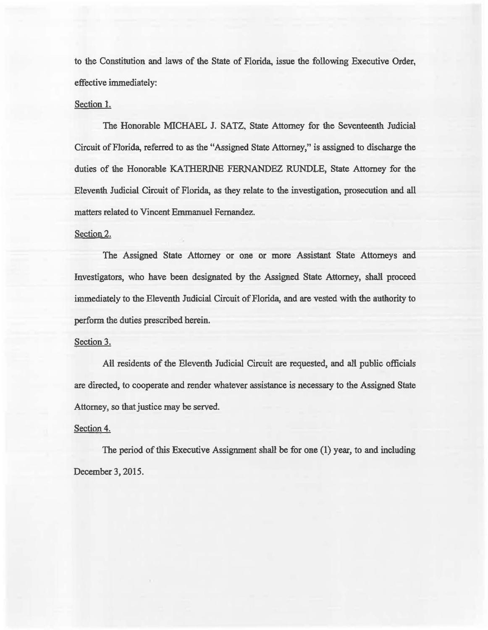to the Constitution and laws of the State of Florida, issue the following Executive Order, effective immediately:

#### Section l.

The Honorable MICHAEL J. SATZ, State Attorney for the Seventeenth. Judicial Circuit of Florida, referred to as the "Assigned State Attorney," is assigned to discharge the duties of the Honorable KATHERINE FERNANDEZ RUNDLE, State Attorney for the Eleventh Judicial Circuit of Florida, as they relate to the investigation, prosecution and all matters related to Vincent Emmanuel Fernandez.

### Section 2.

The Assigned State Attorney or one or more Assistant State Attorneys and Investigators, who have been designated by the Assigned State Attorney, shall proceed immediately to the Eleventh Judicial Circuit of Florida, and are vested with the authority to perform the duties prescribed herein.

# Section 3.

Ail residents of the Eleventh Judicial Circuit are requested, and alt public officials are directed, to cooperate and render whatever assistance is necessary to the Assigned State Attorney, so that justice may be served.

# Section 4.

The period of this Executive Assignment shall be for one (1) year, to and including December 3, 2015.